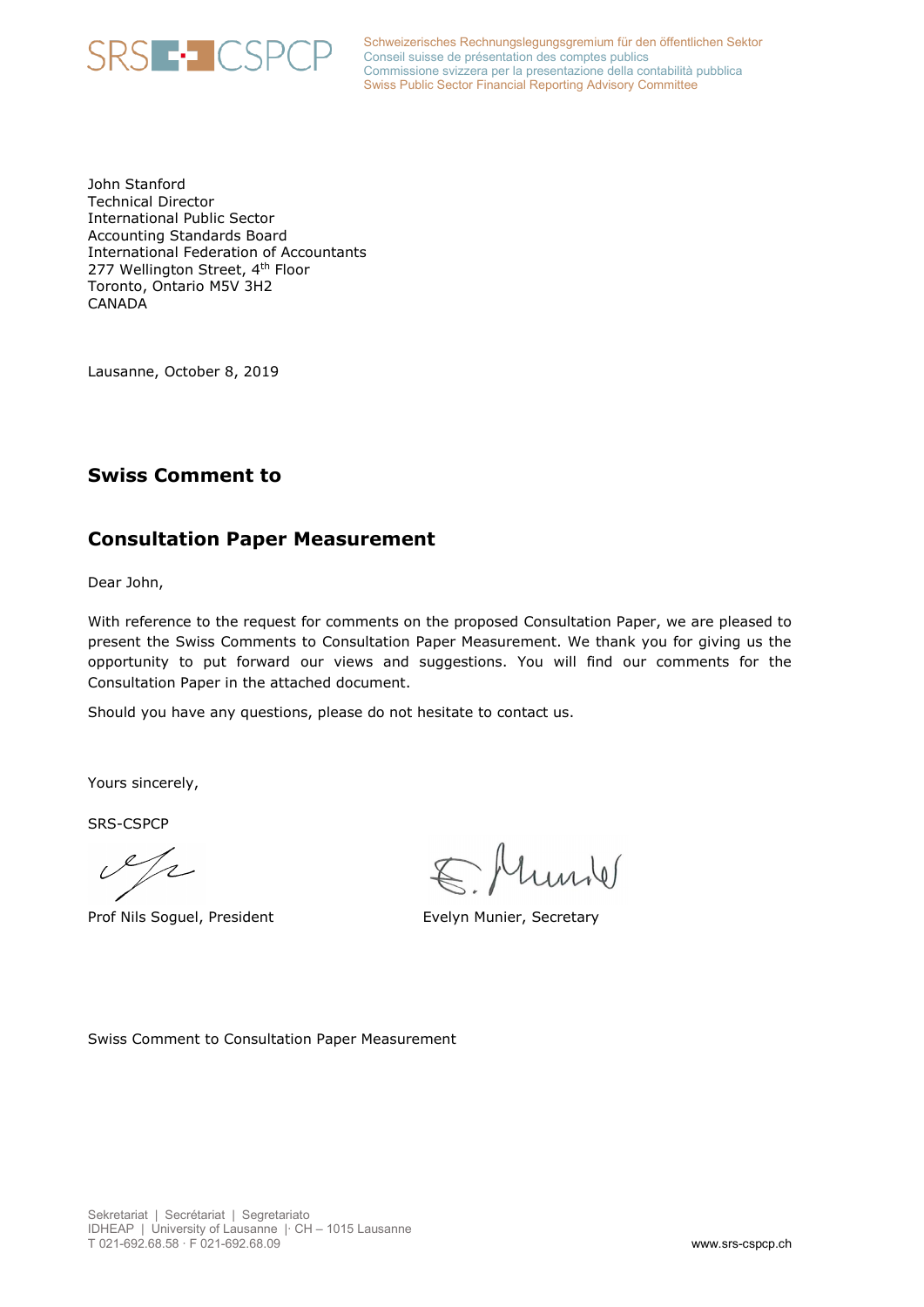

Schweizerisches Rechnungslegungsgremium für den öffentlichen Sektor **RS E-LICSPCP** Schweizerisches Rechnungslegungsgremium für de Commissione svizzera per la presentazione della contabilità pubblica Swiss Public Sector Financial Reporting Advisory Committee

John Stanford Technical Director International Public Sector Accounting Standards Board International Federation of Accountants 277 Wellington Street, 4<sup>th</sup> Floor Toronto, Ontario M5V 3H2 CANADA

Lausanne, October 8, 2019

## **Swiss Comment to**

### **Consultation Paper Measurement**

Dear John,

With reference to the request for comments on the proposed Consultation Paper, we are pleased to present the Swiss Comments to Consultation Paper Measurement. We thank you for giving us the opportunity to put forward our views and suggestions. You will find our comments for the Consultation Paper in the attached document.

Should you have any questions, please do not hesitate to contact us.

Yours sincerely,

SRS-CSPCP

 $\mathscr{S}/\mathscr{C}$ 

Prof Nils Soguel, President Evelyn Munier, Secretary

Ellunde

Swiss Comment to Consultation Paper Measurement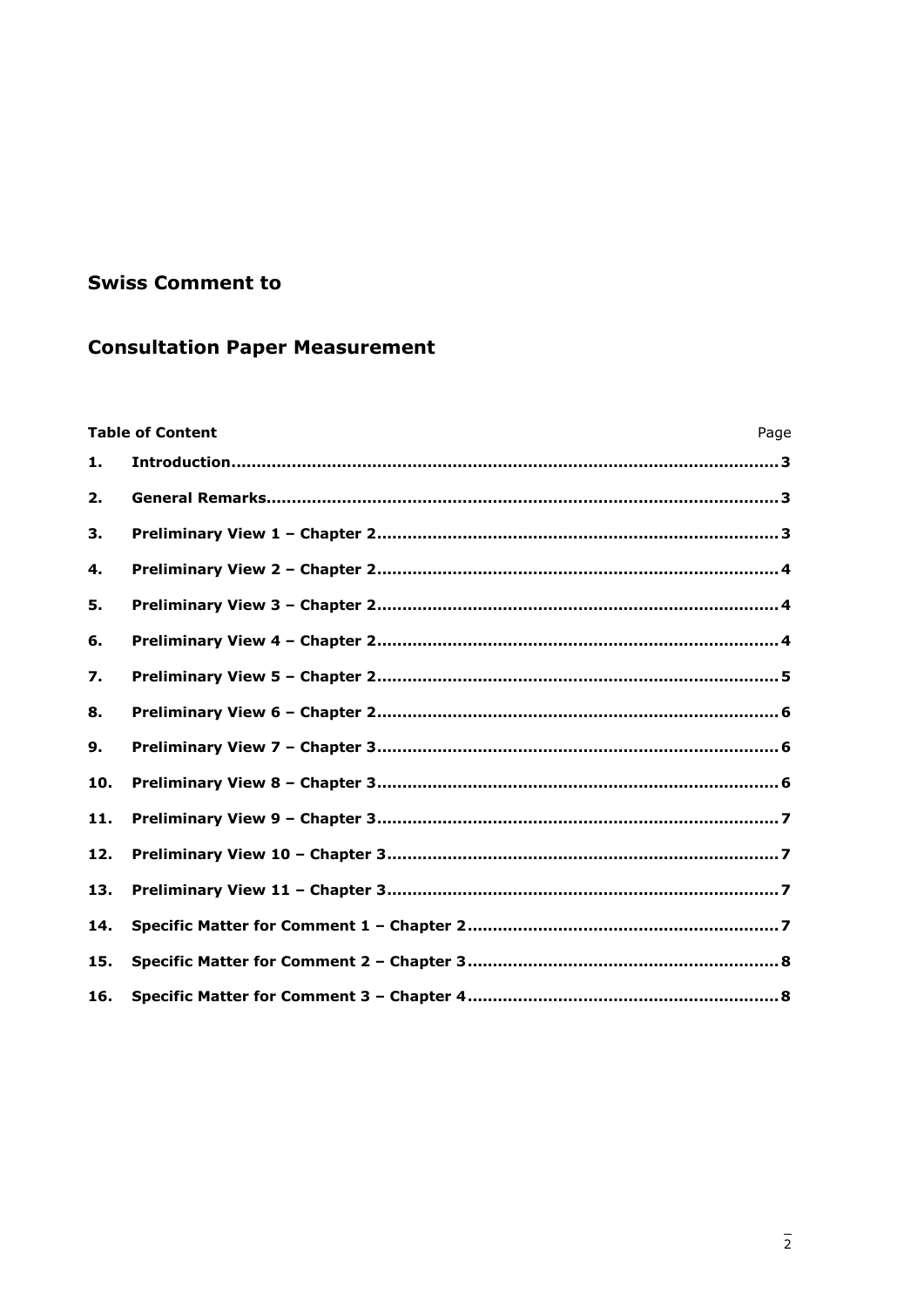## **Swiss Comment to**

# **Consultation Paper Measurement**

|     | <b>Table of Content</b><br>Page |  |
|-----|---------------------------------|--|
| 1.  |                                 |  |
| 2.  |                                 |  |
| З.  |                                 |  |
| 4.  |                                 |  |
| 5.  |                                 |  |
| 6.  |                                 |  |
| 7.  |                                 |  |
| 8.  |                                 |  |
| 9.  |                                 |  |
| 10. |                                 |  |
| 11. |                                 |  |
| 12. |                                 |  |
| 13. |                                 |  |
| 14. |                                 |  |
| 15. |                                 |  |
| 16. |                                 |  |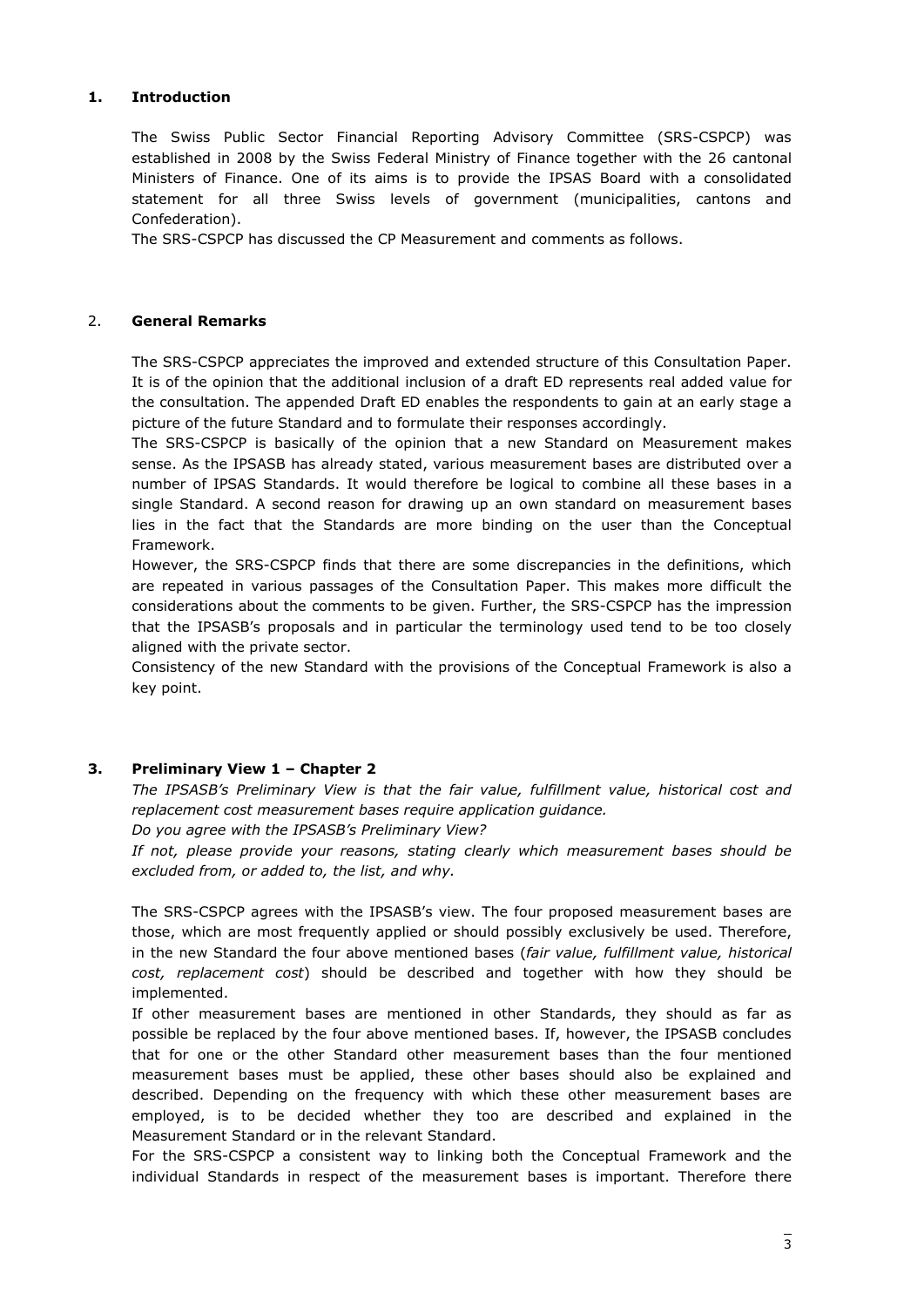#### <span id="page-2-0"></span>**1. Introduction**

The Swiss Public Sector Financial Reporting Advisory Committee (SRS-CSPCP) was established in 2008 by the Swiss Federal Ministry of Finance together with the 26 cantonal Ministers of Finance. One of its aims is to provide the IPSAS Board with a consolidated statement for all three Swiss levels of government (municipalities, cantons and Confederation).

The SRS-CSPCP has discussed the CP Measurement and comments as follows.

#### <span id="page-2-1"></span>2. **General Remarks**

The SRS-CSPCP appreciates the improved and extended structure of this Consultation Paper. It is of the opinion that the additional inclusion of a draft ED represents real added value for the consultation. The appended Draft ED enables the respondents to gain at an early stage a picture of the future Standard and to formulate their responses accordingly.

The SRS-CSPCP is basically of the opinion that a new Standard on Measurement makes sense. As the IPSASB has already stated, various measurement bases are distributed over a number of IPSAS Standards. It would therefore be logical to combine all these bases in a single Standard. A second reason for drawing up an own standard on measurement bases lies in the fact that the Standards are more binding on the user than the Conceptual Framework.

However, the SRS-CSPCP finds that there are some discrepancies in the definitions, which are repeated in various passages of the Consultation Paper. This makes more difficult the considerations about the comments to be given. Further, the SRS-CSPCP has the impression that the IPSASB's proposals and in particular the terminology used tend to be too closely aligned with the private sector.

Consistency of the new Standard with the provisions of the Conceptual Framework is also a key point.

#### <span id="page-2-2"></span>**3. Preliminary View 1 – Chapter 2**

*The IPSASB's Preliminary View is that the fair value, fulfillment value, historical cost and replacement cost measurement bases require application guidance.*

*Do you agree with the IPSASB's Preliminary View?*

*If not, please provide your reasons, stating clearly which measurement bases should be excluded from, or added to, the list, and why.*

The SRS-CSPCP agrees with the IPSASB's view. The four proposed measurement bases are those, which are most frequently applied or should possibly exclusively be used. Therefore, in the new Standard the four above mentioned bases (*fair value, fulfillment value, historical cost, replacement cost*) should be described and together with how they should be implemented.

If other measurement bases are mentioned in other Standards, they should as far as possible be replaced by the four above mentioned bases. If, however, the IPSASB concludes that for one or the other Standard other measurement bases than the four mentioned measurement bases must be applied, these other bases should also be explained and described. Depending on the frequency with which these other measurement bases are employed, is to be decided whether they too are described and explained in the Measurement Standard or in the relevant Standard.

For the SRS-CSPCP a consistent way to linking both the Conceptual Framework and the individual Standards in respect of the measurement bases is important. Therefore there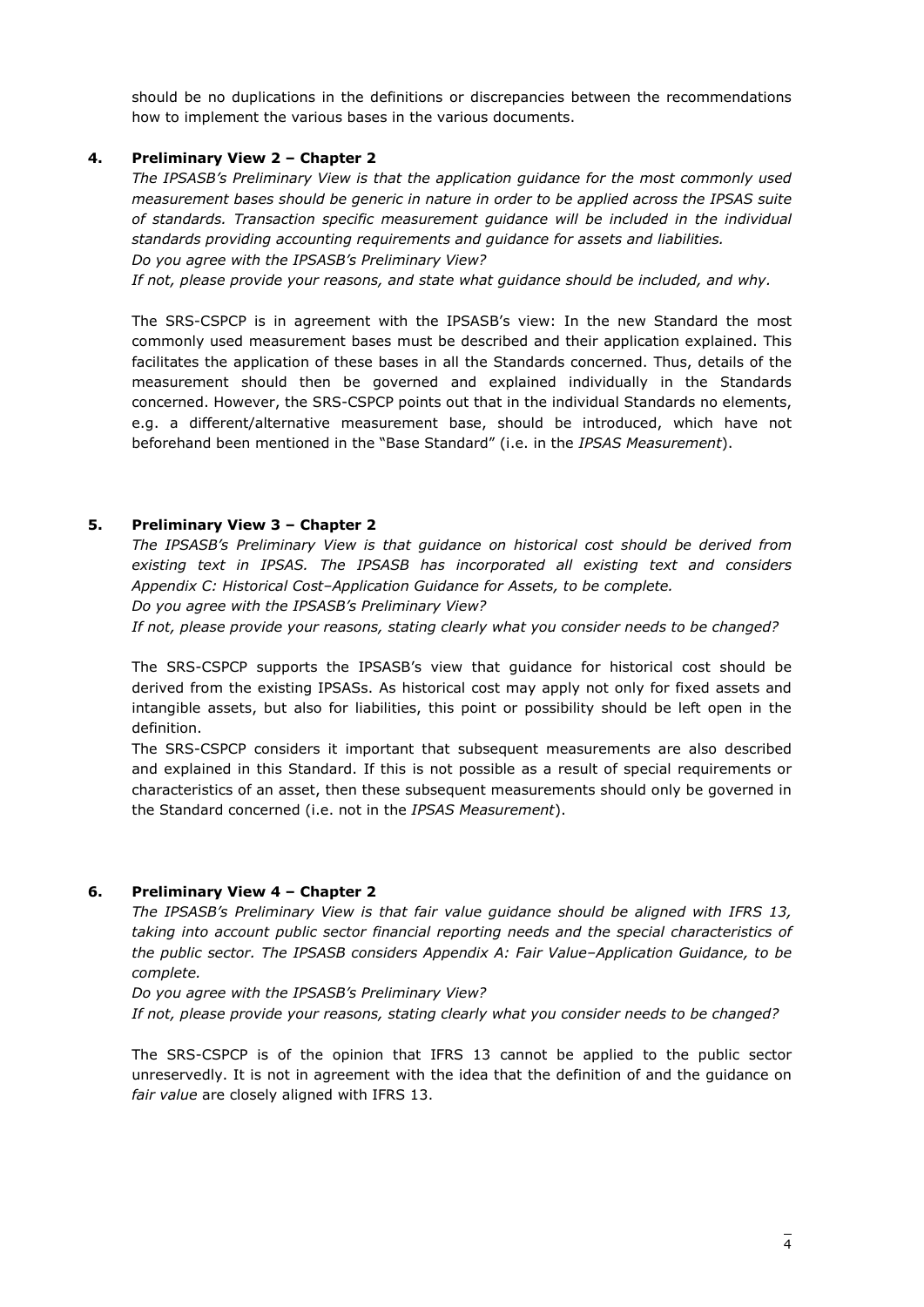should be no duplications in the definitions or discrepancies between the recommendations how to implement the various bases in the various documents.

#### <span id="page-3-0"></span>**4. Preliminary View 2 – Chapter 2**

*The IPSASB's Preliminary View is that the application guidance for the most commonly used measurement bases should be generic in nature in order to be applied across the IPSAS suite of standards. Transaction specific measurement guidance will be included in the individual standards providing accounting requirements and guidance for assets and liabilities. Do you agree with the IPSASB's Preliminary View?*

*If not, please provide your reasons, and state what guidance should be included, and why.*

The SRS-CSPCP is in agreement with the IPSASB's view: In the new Standard the most commonly used measurement bases must be described and their application explained. This facilitates the application of these bases in all the Standards concerned. Thus, details of the measurement should then be governed and explained individually in the Standards concerned. However, the SRS-CSPCP points out that in the individual Standards no elements, e.g. a different/alternative measurement base, should be introduced, which have not beforehand been mentioned in the "Base Standard" (i.e. in the *IPSAS Measurement*).

#### <span id="page-3-1"></span>**5. Preliminary View 3 – Chapter 2**

*The IPSASB's Preliminary View is that guidance on historical cost should be derived from existing text in IPSAS. The IPSASB has incorporated all existing text and considers Appendix C: Historical Cost–Application Guidance for Assets, to be complete. Do you agree with the IPSASB's Preliminary View?*

*If not, please provide your reasons, stating clearly what you consider needs to be changed?*

The SRS-CSPCP supports the IPSASB's view that guidance for historical cost should be derived from the existing IPSASs. As historical cost may apply not only for fixed assets and intangible assets, but also for liabilities, this point or possibility should be left open in the definition.

The SRS-CSPCP considers it important that subsequent measurements are also described and explained in this Standard. If this is not possible as a result of special requirements or characteristics of an asset, then these subsequent measurements should only be governed in the Standard concerned (i.e. not in the *IPSAS Measurement*).

#### <span id="page-3-2"></span>**6. Preliminary View 4 – Chapter 2**

*The IPSASB's Preliminary View is that fair value guidance should be aligned with IFRS 13, taking into account public sector financial reporting needs and the special characteristics of the public sector. The IPSASB considers Appendix A: Fair Value–Application Guidance, to be complete.*

*Do you agree with the IPSASB's Preliminary View?*

*If not, please provide your reasons, stating clearly what you consider needs to be changed?*

The SRS-CSPCP is of the opinion that IFRS 13 cannot be applied to the public sector unreservedly. It is not in agreement with the idea that the definition of and the guidance on *fair value* are closely aligned with IFRS 13.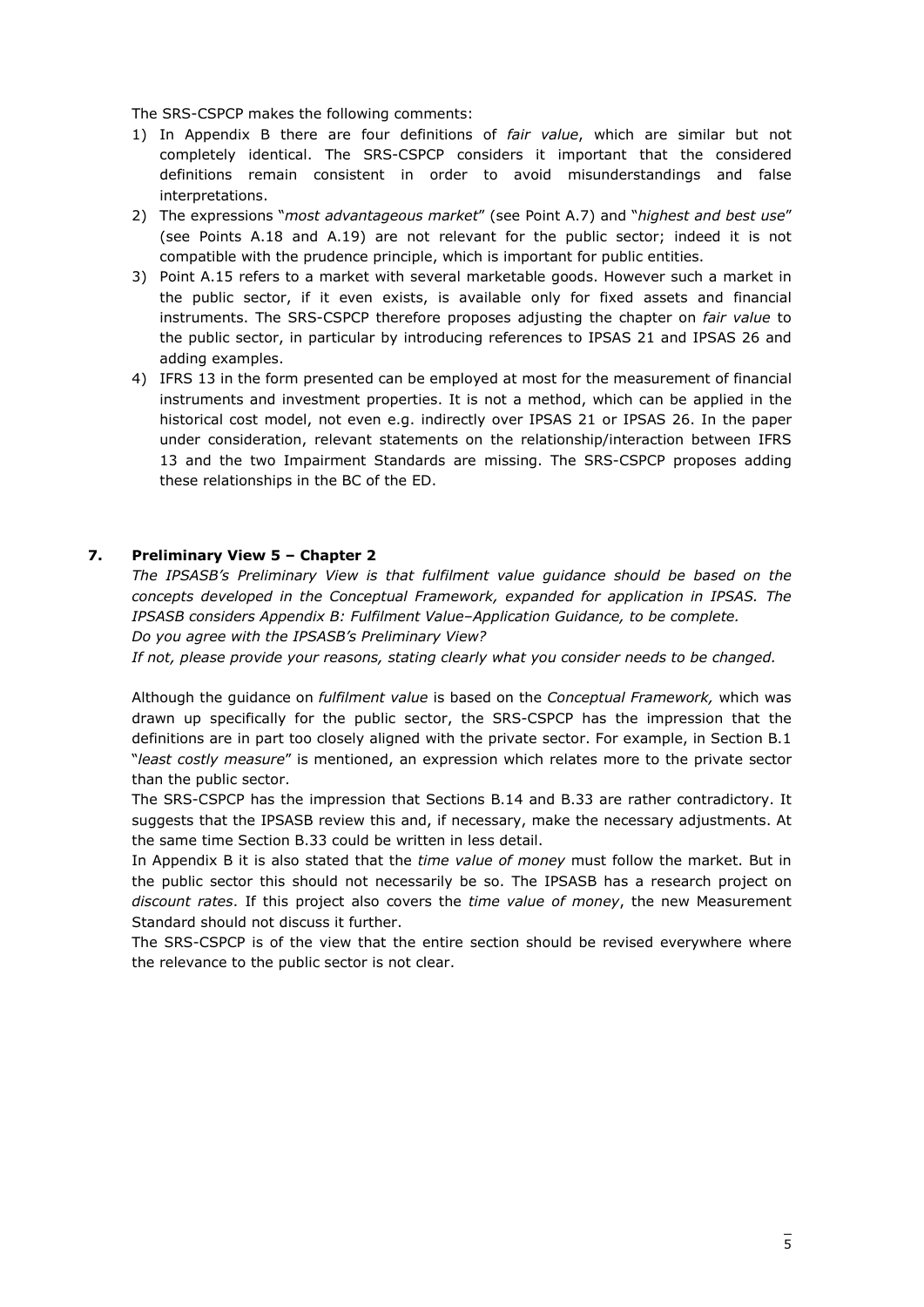The SRS-CSPCP makes the following comments:

- 1) In Appendix B there are four definitions of *fair value*, which are similar but not completely identical. The SRS-CSPCP considers it important that the considered definitions remain consistent in order to avoid misunderstandings and false interpretations.
- 2) The expressions "*most advantageous market*" (see Point A.7) and "*highest and best use*" (see Points A.18 and A.19) are not relevant for the public sector; indeed it is not compatible with the prudence principle, which is important for public entities.
- 3) Point A.15 refers to a market with several marketable goods. However such a market in the public sector, if it even exists, is available only for fixed assets and financial instruments. The SRS-CSPCP therefore proposes adjusting the chapter on *fair value* to the public sector, in particular by introducing references to IPSAS 21 and IPSAS 26 and adding examples.
- 4) IFRS 13 in the form presented can be employed at most for the measurement of financial instruments and investment properties. It is not a method, which can be applied in the historical cost model, not even e.g. indirectly over IPSAS 21 or IPSAS 26. In the paper under consideration, relevant statements on the relationship/interaction between IFRS 13 and the two Impairment Standards are missing. The SRS-CSPCP proposes adding these relationships in the BC of the ED.

#### <span id="page-4-0"></span>**7. Preliminary View 5 – Chapter 2**

The IPSASB's Preliminary View is that fulfilment value guidance should be based on the *concepts developed in the Conceptual Framework, expanded for application in IPSAS. The IPSASB considers Appendix B: Fulfilment Value–Application Guidance, to be complete. Do you agree with the IPSASB's Preliminary View?*

*If not, please provide your reasons, stating clearly what you consider needs to be changed.*

Although the guidance on *fulfilment value* is based on the *Conceptual Framework,* which was drawn up specifically for the public sector, the SRS-CSPCP has the impression that the definitions are in part too closely aligned with the private sector. For example, in Section B.1 "*least costly measure*" is mentioned, an expression which relates more to the private sector than the public sector.

The SRS-CSPCP has the impression that Sections B.14 and B.33 are rather contradictory. It suggests that the IPSASB review this and, if necessary, make the necessary adjustments. At the same time Section B.33 could be written in less detail.

In Appendix B it is also stated that the *time value of money* must follow the market. But in the public sector this should not necessarily be so. The IPSASB has a research project on *discount rates*. If this project also covers the *time value of money*, the new Measurement Standard should not discuss it further.

The SRS-CSPCP is of the view that the entire section should be revised everywhere where the relevance to the public sector is not clear.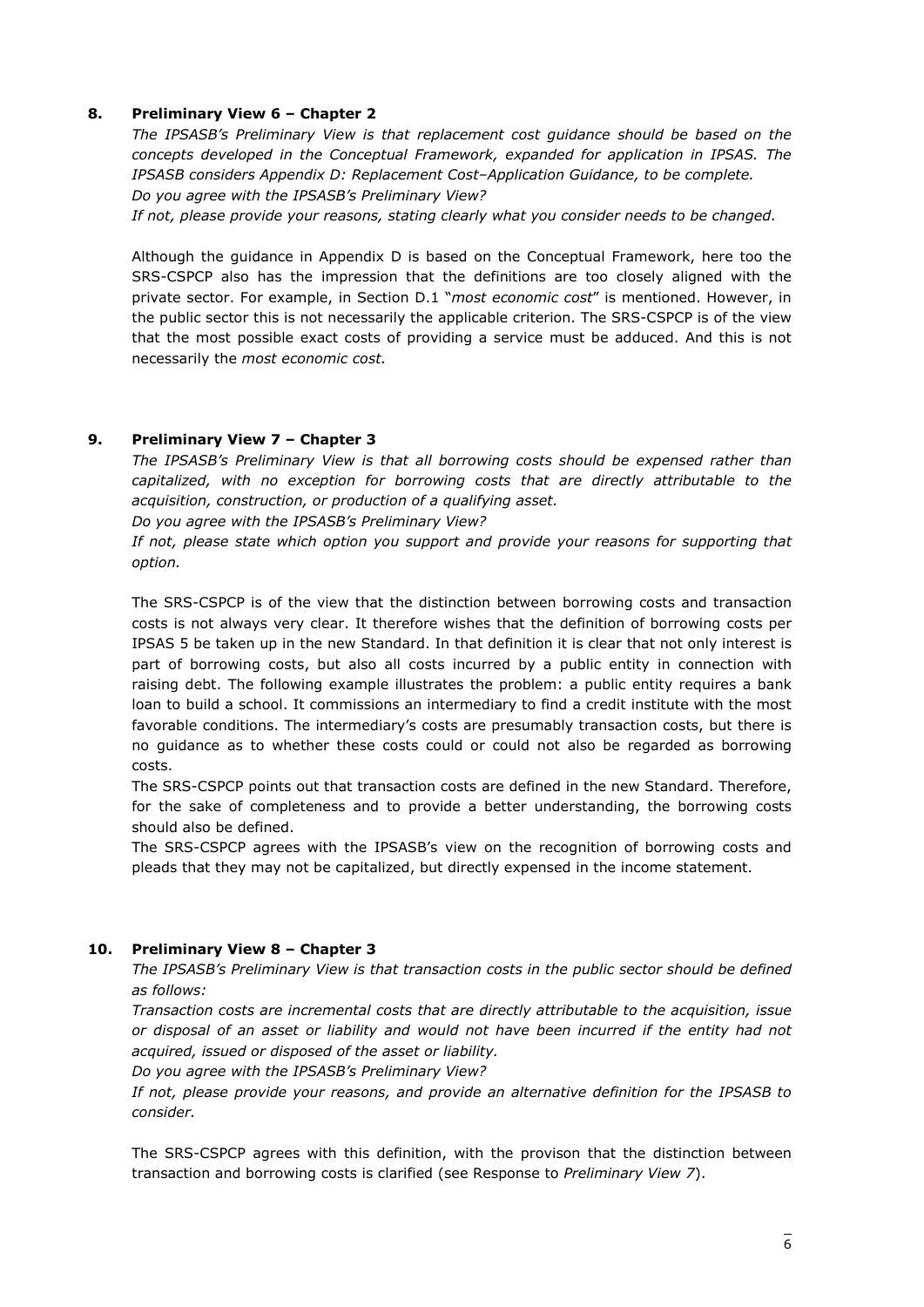#### <span id="page-5-0"></span>**8. Preliminary View 6 – Chapter 2**

*The IPSASB's Preliminary View is that replacement cost guidance should be based on the concepts developed in the Conceptual Framework, expanded for application in IPSAS. The IPSASB considers Appendix D: Replacement Cost–Application Guidance, to be complete. Do you agree with the IPSASB's Preliminary View?*

*If not, please provide your reasons, stating clearly what you consider needs to be changed.*

Although the guidance in Appendix D is based on the Conceptual Framework, here too the SRS-CSPCP also has the impression that the definitions are too closely aligned with the private sector. For example, in Section D.1 "*most economic cost*" is mentioned. However, in the public sector this is not necessarily the applicable criterion. The SRS-CSPCP is of the view that the most possible exact costs of providing a service must be adduced. And this is not necessarily the *most economic cost.*

#### <span id="page-5-1"></span>**9. Preliminary View 7 – Chapter 3**

*The IPSASB's Preliminary View is that all borrowing costs should be expensed rather than capitalized, with no exception for borrowing costs that are directly attributable to the acquisition, construction, or production of a qualifying asset.*

*Do you agree with the IPSASB's Preliminary View?*

*If not, please state which option you support and provide your reasons for supporting that option.*

The SRS-CSPCP is of the view that the distinction between borrowing costs and transaction costs is not always very clear. It therefore wishes that the definition of borrowing costs per IPSAS 5 be taken up in the new Standard. In that definition it is clear that not only interest is part of borrowing costs, but also all costs incurred by a public entity in connection with raising debt. The following example illustrates the problem: a public entity requires a bank loan to build a school. It commissions an intermediary to find a credit institute with the most favorable conditions. The intermediary's costs are presumably transaction costs, but there is no guidance as to whether these costs could or could not also be regarded as borrowing costs.

The SRS-CSPCP points out that transaction costs are defined in the new Standard. Therefore, for the sake of completeness and to provide a better understanding, the borrowing costs should also be defined.

The SRS-CSPCP agrees with the IPSASB's view on the recognition of borrowing costs and pleads that they may not be capitalized, but directly expensed in the income statement.

#### <span id="page-5-2"></span>**10. Preliminary View 8 – Chapter 3**

*The IPSASB's Preliminary View is that transaction costs in the public sector should be defined as follows:*

*Transaction costs are incremental costs that are directly attributable to the acquisition, issue or disposal of an asset or liability and would not have been incurred if the entity had not acquired, issued or disposed of the asset or liability.*

*Do you agree with the IPSASB's Preliminary View?*

*If not, please provide your reasons, and provide an alternative definition for the IPSASB to consider.*

The SRS-CSPCP agrees with this definition, with the provison that the distinction between transaction and borrowing costs is clarified (see Response to *Preliminary View 7*).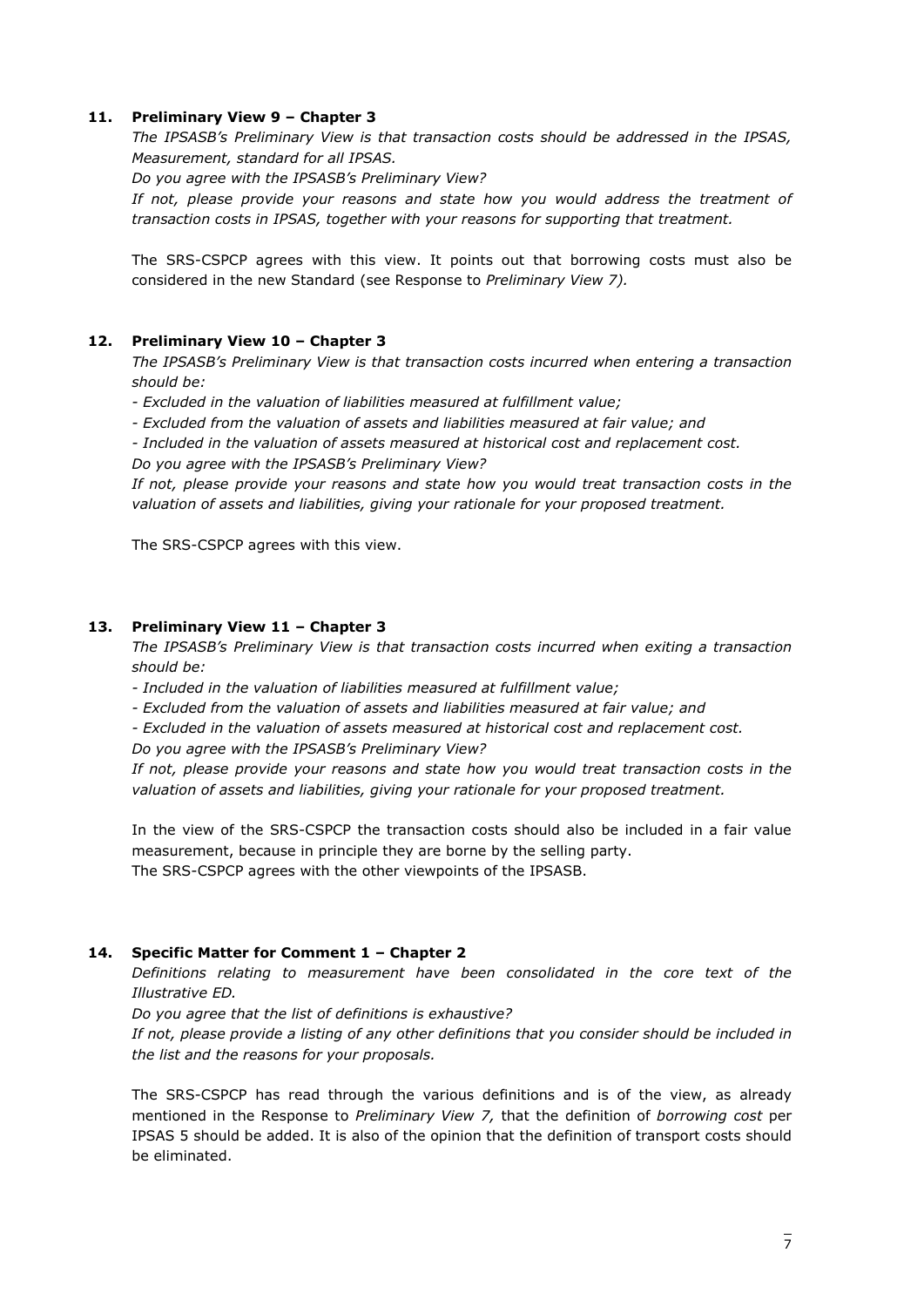#### <span id="page-6-0"></span>**11. Preliminary View 9 – Chapter 3**

*The IPSASB's Preliminary View is that transaction costs should be addressed in the IPSAS, Measurement, standard for all IPSAS.*

*Do you agree with the IPSASB's Preliminary View?*

*If not, please provide your reasons and state how you would address the treatment of transaction costs in IPSAS, together with your reasons for supporting that treatment.*

The SRS-CSPCP agrees with this view. It points out that borrowing costs must also be considered in the new Standard (see Response to *Preliminary View 7).*

#### <span id="page-6-1"></span>**12. Preliminary View 10 – Chapter 3**

*The IPSASB's Preliminary View is that transaction costs incurred when entering a transaction should be:*

*- Excluded in the valuation of liabilities measured at fulfillment value;*

*- Excluded from the valuation of assets and liabilities measured at fair value; and*

*- Included in the valuation of assets measured at historical cost and replacement cost.*

*Do you agree with the IPSASB's Preliminary View?*

*If not, please provide your reasons and state how you would treat transaction costs in the valuation of assets and liabilities, giving your rationale for your proposed treatment.*

The SRS-CSPCP agrees with this view.

#### <span id="page-6-2"></span>**13. Preliminary View 11 – Chapter 3**

*The IPSASB's Preliminary View is that transaction costs incurred when exiting a transaction should be:*

*- Included in the valuation of liabilities measured at fulfillment value;*

*- Excluded from the valuation of assets and liabilities measured at fair value; and*

*- Excluded in the valuation of assets measured at historical cost and replacement cost.*

*Do you agree with the IPSASB's Preliminary View?*

*If not, please provide your reasons and state how you would treat transaction costs in the valuation of assets and liabilities, giving your rationale for your proposed treatment.*

In the view of the SRS-CSPCP the transaction costs should also be included in a fair value measurement, because in principle they are borne by the selling party. The SRS-CSPCP agrees with the other viewpoints of the IPSASB.

#### <span id="page-6-3"></span>**14. Specific Matter for Comment 1 – Chapter 2**

*Definitions relating to measurement have been consolidated in the core text of the Illustrative ED.*

*Do you agree that the list of definitions is exhaustive?*

If not, please provide a listing of any other definitions that you consider should be included in *the list and the reasons for your proposals.*

The SRS-CSPCP has read through the various definitions and is of the view, as already mentioned in the Response to *Preliminary View 7,* that the definition of *borrowing cost* per IPSAS 5 should be added. It is also of the opinion that the definition of transport costs should be eliminated.